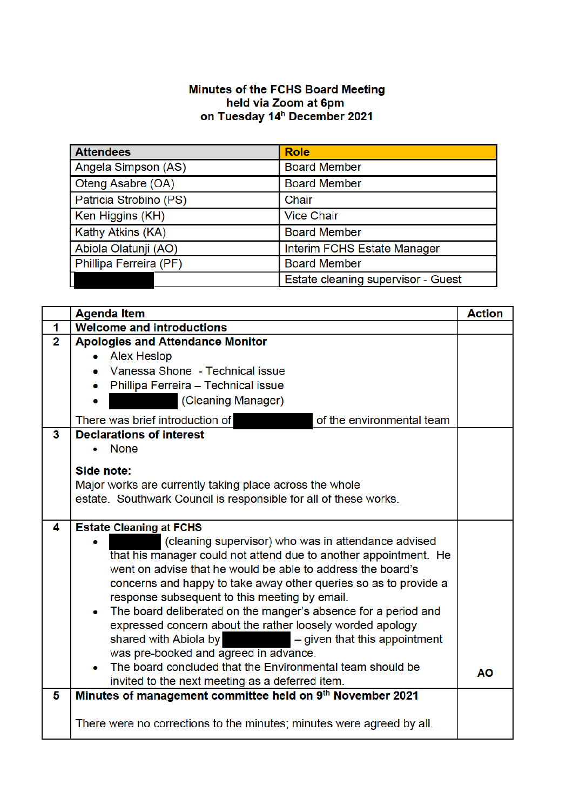## Minutes of the FCHS Board Meeting<br>held via Zoom at 6pm<br>on Tuesday 14<sup>h</sup> December 2021

| <b>Attendees</b>       | <b>Role</b>                        |
|------------------------|------------------------------------|
| Angela Simpson (AS)    | <b>Board Member</b>                |
| Oteng Asabre (OA)      | <b>Board Member</b>                |
| Patricia Strobino (PS) | Chair                              |
| Ken Higgins (KH)       | <b>Vice Chair</b>                  |
| Kathy Atkins (KA)      | <b>Board Member</b>                |
| Abiola Olatunji (AO)   | Interim FCHS Estate Manager        |
| Phillipa Ferreira (PF) | <b>Board Member</b>                |
|                        | Estate cleaning supervisor - Guest |

|                     | <b>Agenda Item</b>                                                                                                                                                                                                                                                                                                                                                                                                                                                                                                                                                                                                                                                                                | <b>Action</b> |
|---------------------|---------------------------------------------------------------------------------------------------------------------------------------------------------------------------------------------------------------------------------------------------------------------------------------------------------------------------------------------------------------------------------------------------------------------------------------------------------------------------------------------------------------------------------------------------------------------------------------------------------------------------------------------------------------------------------------------------|---------------|
| 1                   | <b>Welcome and introductions</b>                                                                                                                                                                                                                                                                                                                                                                                                                                                                                                                                                                                                                                                                  |               |
| $\overline{2}$<br>3 | <b>Apologies and Attendance Monitor</b><br>Alex Heslop<br>Vanessa Shone - Technical issue<br>Phillipa Ferreira - Technical issue<br>(Cleaning Manager)<br>There was brief introduction of<br>of the environmental team<br><b>Declarations of interest</b><br><b>None</b>                                                                                                                                                                                                                                                                                                                                                                                                                          |               |
|                     | Side note:<br>Major works are currently taking place across the whole<br>estate. Southwark Council is responsible for all of these works.                                                                                                                                                                                                                                                                                                                                                                                                                                                                                                                                                         |               |
| 4                   | <b>Estate Cleaning at FCHS</b><br>(cleaning supervisor) who was in attendance advised<br>that his manager could not attend due to another appointment. He<br>went on advise that he would be able to address the board's<br>concerns and happy to take away other queries so as to provide a<br>response subsequent to this meeting by email.<br>The board deliberated on the manger's absence for a period and<br>expressed concern about the rather loosely worded apology<br>shared with Abiola by<br>$-$ given that this appointment<br>was pre-booked and agreed in advance.<br>The board concluded that the Environmental team should be<br>invited to the next meeting as a deferred item. | <b>AO</b>     |
| 5                   | Minutes of management committee held on 9th November 2021<br>There were no corrections to the minutes; minutes were agreed by all.                                                                                                                                                                                                                                                                                                                                                                                                                                                                                                                                                                |               |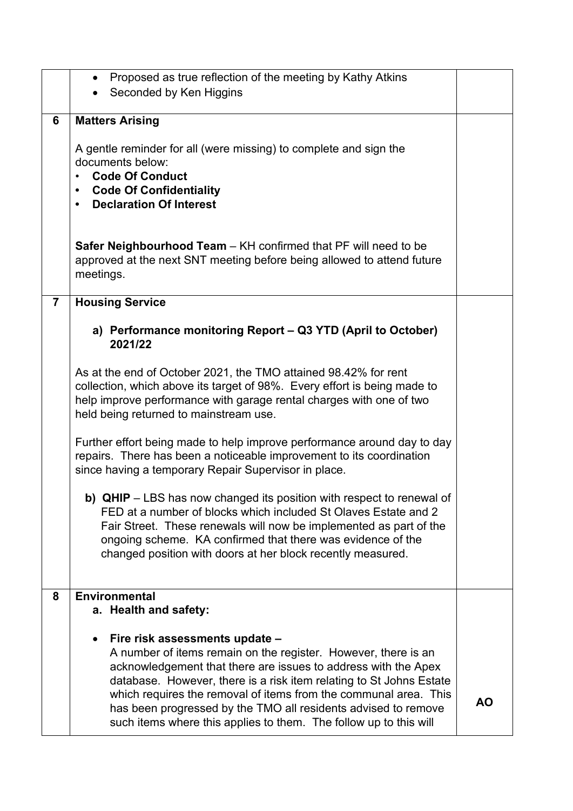|                | Proposed as true reflection of the meeting by Kathy Atkins<br>$\bullet$<br>Seconded by Ken Higgins                                                                                                                                                                                                                                                                                                                                                   |    |
|----------------|------------------------------------------------------------------------------------------------------------------------------------------------------------------------------------------------------------------------------------------------------------------------------------------------------------------------------------------------------------------------------------------------------------------------------------------------------|----|
| 6              | <b>Matters Arising</b>                                                                                                                                                                                                                                                                                                                                                                                                                               |    |
|                | A gentle reminder for all (were missing) to complete and sign the<br>documents below:<br><b>Code Of Conduct</b><br>$\bullet$<br><b>Code Of Confidentiality</b><br>$\bullet$<br><b>Declaration Of Interest</b><br>$\bullet$                                                                                                                                                                                                                           |    |
|                | Safer Neighbourhood Team - KH confirmed that PF will need to be<br>approved at the next SNT meeting before being allowed to attend future<br>meetings.                                                                                                                                                                                                                                                                                               |    |
| $\overline{7}$ | <b>Housing Service</b>                                                                                                                                                                                                                                                                                                                                                                                                                               |    |
|                | a) Performance monitoring Report - Q3 YTD (April to October)<br>2021/22                                                                                                                                                                                                                                                                                                                                                                              |    |
|                | As at the end of October 2021, the TMO attained 98.42% for rent<br>collection, which above its target of 98%. Every effort is being made to<br>help improve performance with garage rental charges with one of two<br>held being returned to mainstream use.                                                                                                                                                                                         |    |
|                | Further effort being made to help improve performance around day to day<br>repairs. There has been a noticeable improvement to its coordination<br>since having a temporary Repair Supervisor in place.                                                                                                                                                                                                                                              |    |
|                | b) QHIP - LBS has now changed its position with respect to renewal of<br>FED at a number of blocks which included St Olaves Estate and 2<br>Fair Street. These renewals will now be implemented as part of the<br>ongoing scheme. KA confirmed that there was evidence of the<br>changed position with doors at her block recently measured.                                                                                                         |    |
| 8              | <b>Environmental</b><br>a. Health and safety:                                                                                                                                                                                                                                                                                                                                                                                                        |    |
|                | Fire risk assessments update -<br>A number of items remain on the register. However, there is an<br>acknowledgement that there are issues to address with the Apex<br>database. However, there is a risk item relating to St Johns Estate<br>which requires the removal of items from the communal area. This<br>has been progressed by the TMO all residents advised to remove<br>such items where this applies to them. The follow up to this will | AO |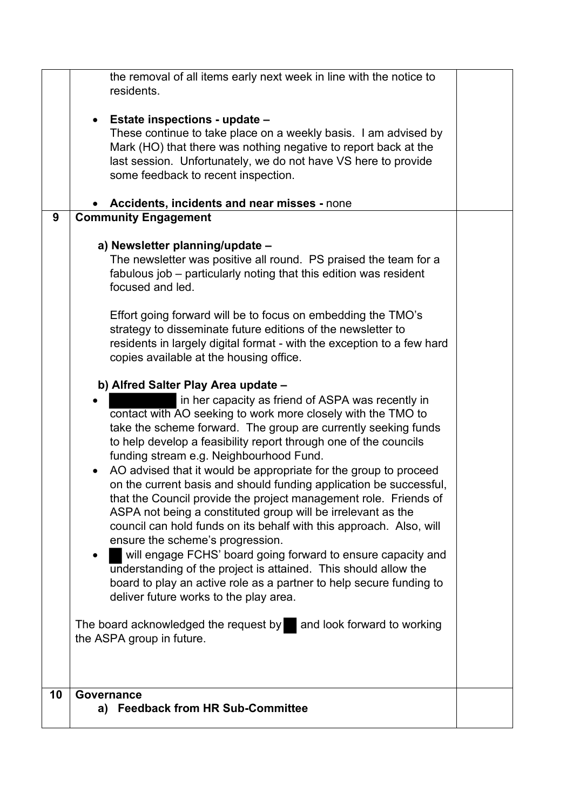|    | the removal of all items early next week in line with the notice to                                                                    |  |
|----|----------------------------------------------------------------------------------------------------------------------------------------|--|
|    | residents.                                                                                                                             |  |
|    | Estate inspections - update -<br>$\bullet$                                                                                             |  |
|    | These continue to take place on a weekly basis. I am advised by                                                                        |  |
|    | Mark (HO) that there was nothing negative to report back at the<br>last session. Unfortunately, we do not have VS here to provide      |  |
|    | some feedback to recent inspection.                                                                                                    |  |
|    |                                                                                                                                        |  |
|    | Accidents, incidents and near misses - none                                                                                            |  |
| 9  | <b>Community Engagement</b>                                                                                                            |  |
|    | a) Newsletter planning/update -                                                                                                        |  |
|    | The newsletter was positive all round. PS praised the team for a                                                                       |  |
|    | fabulous job – particularly noting that this edition was resident                                                                      |  |
|    | focused and led.                                                                                                                       |  |
|    | Effort going forward will be to focus on embedding the TMO's                                                                           |  |
|    | strategy to disseminate future editions of the newsletter to                                                                           |  |
|    | residents in largely digital format - with the exception to a few hard                                                                 |  |
|    | copies available at the housing office.                                                                                                |  |
|    | b) Alfred Salter Play Area update -                                                                                                    |  |
|    | in her capacity as friend of ASPA was recently in                                                                                      |  |
|    | contact with AO seeking to work more closely with the TMO to<br>take the scheme forward. The group are currently seeking funds         |  |
|    | to help develop a feasibility report through one of the councils                                                                       |  |
|    | funding stream e.g. Neighbourhood Fund.                                                                                                |  |
|    | AO advised that it would be appropriate for the group to proceed<br>$\bullet$                                                          |  |
|    | on the current basis and should funding application be successful,                                                                     |  |
|    | that the Council provide the project management role. Friends of<br>ASPA not being a constituted group will be irrelevant as the       |  |
|    | council can hold funds on its behalf with this approach. Also, will                                                                    |  |
|    | ensure the scheme's progression.                                                                                                       |  |
|    | will engage FCHS' board going forward to ensure capacity and<br>$\bullet$                                                              |  |
|    | understanding of the project is attained. This should allow the<br>board to play an active role as a partner to help secure funding to |  |
|    | deliver future works to the play area.                                                                                                 |  |
|    |                                                                                                                                        |  |
|    | The board acknowledged the request by and look forward to working<br>the ASPA group in future.                                         |  |
|    |                                                                                                                                        |  |
|    |                                                                                                                                        |  |
| 10 | Governance                                                                                                                             |  |
|    | a) Feedback from HR Sub-Committee                                                                                                      |  |
|    |                                                                                                                                        |  |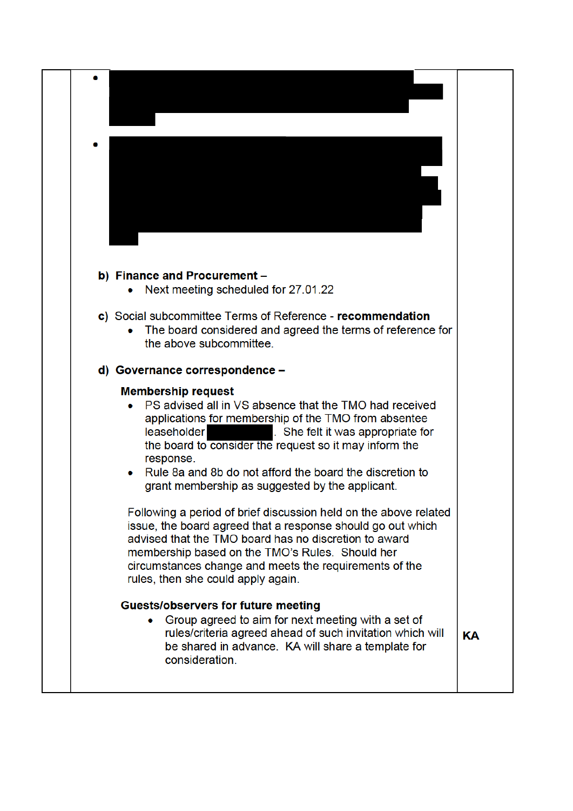